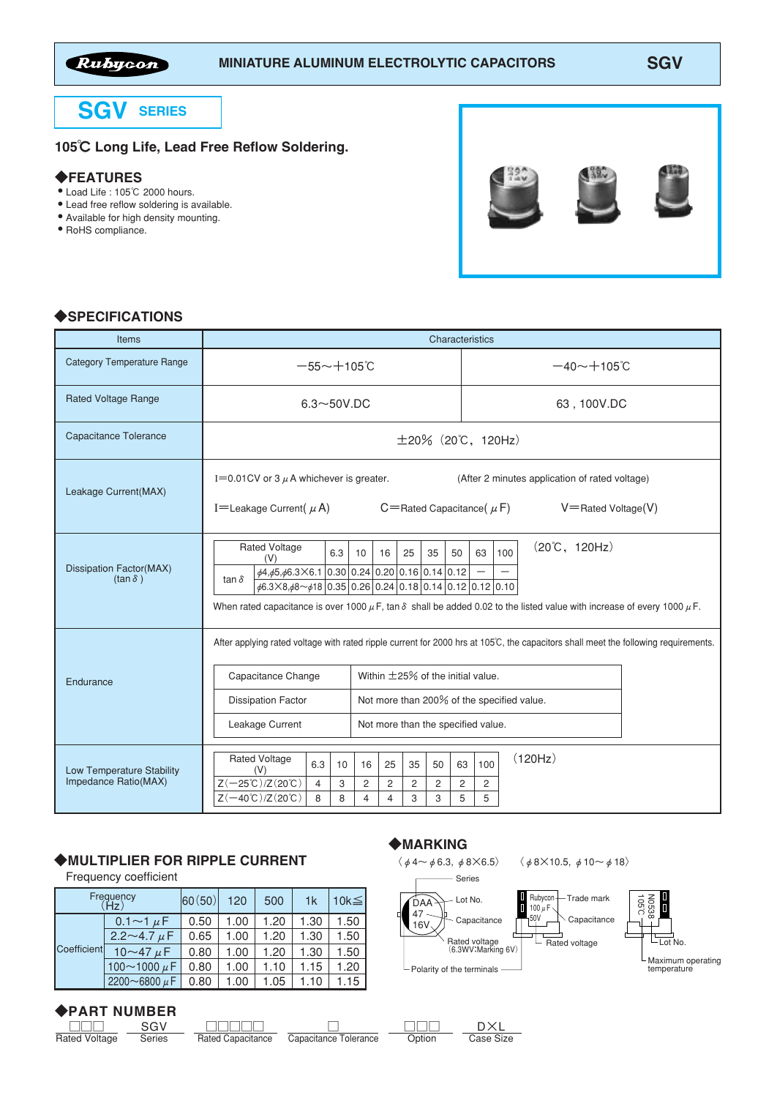

# **SGV SERIES**

## 105℃ Long Life, Lead Free Reflow Soldering.

#### ◆FEATURES

- Load Life : 105℃ 2000 hours.
- Lead free reflow soldering is available.
- Available for high density mounting.
- RoHS compliance.



### ◆SPECIFICATIONS

| <b>Items</b>                                      | Characteristics                                                                                                                                                                                                                                                                                                                                          |                           |                                                                                                                  |                                                                              |                                            |                    |                            |     |                                      |  |  |  |  |  |
|---------------------------------------------------|----------------------------------------------------------------------------------------------------------------------------------------------------------------------------------------------------------------------------------------------------------------------------------------------------------------------------------------------------------|---------------------------|------------------------------------------------------------------------------------------------------------------|------------------------------------------------------------------------------|--------------------------------------------|--------------------|----------------------------|-----|--------------------------------------|--|--|--|--|--|
| <b>Category Temperature Range</b>                 | $-55 - +105$ °C                                                                                                                                                                                                                                                                                                                                          |                           |                                                                                                                  |                                                                              |                                            | $-40 \sim +105$ °C |                            |     |                                      |  |  |  |  |  |
| <b>Rated Voltage Range</b>                        | $6.3\neg 50V$ .DC                                                                                                                                                                                                                                                                                                                                        |                           |                                                                                                                  |                                                                              |                                            | 63, 100V.DC        |                            |     |                                      |  |  |  |  |  |
| <b>Capacitance Tolerance</b>                      | $\pm 20\%$ (20°C, 120Hz)                                                                                                                                                                                                                                                                                                                                 |                           |                                                                                                                  |                                                                              |                                            |                    |                            |     |                                      |  |  |  |  |  |
| Leakage Current(MAX)                              | I=0.01CV or 3 $\mu$ A whichever is greater.<br>I=Leakage Current( $\mu$ A)                                                                                                                                                                                                                                                                               |                           | (After 2 minutes application of rated voltage)<br>$C =$ Rated Capacitance $(\mu F)$<br>$V =$ Rated Voltage $(V)$ |                                                                              |                                            |                    |                            |     |                                      |  |  |  |  |  |
| Dissipation Factor(MAX)<br>$(\tan \delta)$        | <b>Rated Voltage</b><br>6.3<br>(V)<br>$\phi$ 4, $\phi$ 5, $\phi$ 6.3×6.1 0.30 0.24 0.20 0.16 0.14 0.12<br>tan $\delta$<br>$\frac{1}{26.3 \times 8.48}$ ~ $\frac{1}{8}$ 0.35 0.26 0.24 0.18 0.14 0.12 0.12 0.10<br>When rated capacitance is over 1000 $\mu$ F, tan $\delta$ shall be added 0.02 to the listed value with increase of every 1000 $\mu$ F. | 10                        | 16                                                                                                               | 25                                                                           | 35                                         | 50                 | 63                         | 100 | $(20^{\circ}\text{C}, 120\text{Hz})$ |  |  |  |  |  |
| Endurance                                         | After applying rated voltage with rated ripple current for 2000 hrs at 105°C, the capacitors shall meet the following requirements.<br>Capacitance Change<br><b>Dissipation Factor</b><br>Leakage Current                                                                                                                                                |                           |                                                                                                                  | Within $\pm$ 25% of the initial value.<br>Not more than the specified value. | Not more than 200% of the specified value. |                    |                            |     |                                      |  |  |  |  |  |
| Low Temperature Stability<br>Impedance Ratio(MAX) | <b>Rated Voltage</b><br>6.3<br>10<br>(V)<br>$Z(-25^{\circ}\text{C})/Z(20^{\circ}\text{C})$<br>$\overline{4}$<br>3<br>$Z(-40^{\circ}\text{C})$ /Z $(20^{\circ}\text{C})$<br>8<br>8                                                                                                                                                                        | 16<br>$\overline{c}$<br>4 | 25<br>2<br>4                                                                                                     | 35<br>2<br>3                                                                 | 50<br>$\overline{c}$<br>3                  | 63<br>2<br>5       | 100<br>$\overline{c}$<br>5 |     | (120Hz)                              |  |  |  |  |  |

#### ◆MULTIPLIER FOR RIPPLE CURRENT

Frequency coefficient

| Frequency   | 60(50)                  | 120  | 500  | 1 <sub>k</sub> | 10 $k \leq$ |      |
|-------------|-------------------------|------|------|----------------|-------------|------|
| Coefficient | 0.1 $\sim$ 1 $\mu$ F    | 0.50 | 1.00 | 1.20           | 1.30        | 1.50 |
|             | 2.2 $\sim$ 4.7 $\mu$ F  | 0.65 | 1.00 | 1.20           | 1.30        | 1.50 |
|             | 10 $\sim$ 47 $\mu$ F    | 0.80 | 1.00 | 1.20           | 1.30        | 1.50 |
|             | 100 $\sim$ 1000 $\mu$ F | 0.80 | 1.00 | 1.10           | 1.15        | 1.20 |
|             | 2200~6800 $\mu$ F       | 0.80 | 1.00 | 1.05           | 1.10        | 1.15 |

# ◆PART NUMBER

□□□ Rated Voltage SGV **Series** 

□□□□□ Rated Capacitance

□ Capacitance Tolerance

◆MARKING

□□□ **Option** 

D×L Case Size

# $\langle \phi$ 4~ $\phi$ 6.3,  $\phi$ 8×6.5〉  $\langle \phi$ 8×10.5,  $\phi$ 10~ $\phi$ 18〉